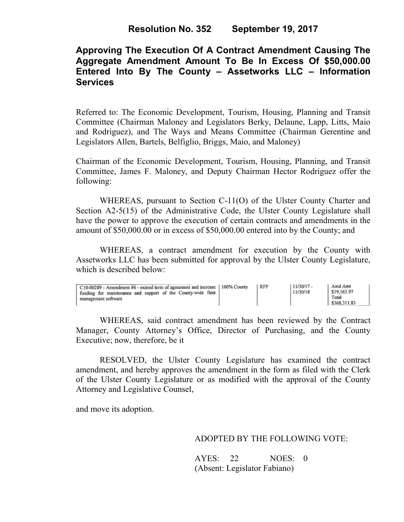## **Approving The Execution Of A Contract Amendment Causing The Aggregate Amendment Amount To Be In Excess Of \$50,000.00 Entered Into By The County – Assetworks LLC – Information Services**

Referred to: The Economic Development, Tourism, Housing, Planning and Transit Committee (Chairman Maloney and Legislators Berky, Delaune, Lapp, Litts, Maio and Rodriguez), and The Ways and Means Committee (Chairman Gerentine and Legislators Allen, Bartels, Belfiglio, Briggs, Maio, and Maloney)

Chairman of the Economic Development, Tourism, Housing, Planning, and Transit Committee, James F. Maloney, and Deputy Chairman Hector Rodriguez offer the following:

WHEREAS, pursuant to Section C-11(O) of the Ulster County Charter and Section A2-5(15) of the Administrative Code, the Ulster County Legislature shall have the power to approve the execution of certain contracts and amendments in the amount of \$50,000.00 or in excess of \$50,000.00 entered into by the County; and

 WHEREAS, a contract amendment for execution by the County with Assetworks LLC has been submitted for approval by the Ulster County Legislature, which is described below:

| C10-00289 - Amendment #6 - extend term of agreement and increase   100% County<br>funding for maintenance and support of the County-wide fleet<br>management software |  | RFP | 11/30/17 -<br>11/30/18 | Amd Amt<br>\$19,163.97<br>Total<br>\$368,311.83 |
|-----------------------------------------------------------------------------------------------------------------------------------------------------------------------|--|-----|------------------------|-------------------------------------------------|
|-----------------------------------------------------------------------------------------------------------------------------------------------------------------------|--|-----|------------------------|-------------------------------------------------|

WHEREAS, said contract amendment has been reviewed by the Contract Manager, County Attorney's Office, Director of Purchasing, and the County Executive; now, therefore, be it

RESOLVED, the Ulster County Legislature has examined the contract amendment, and hereby approves the amendment in the form as filed with the Clerk of the Ulster County Legislature or as modified with the approval of the County Attorney and Legislative Counsel,

and move its adoption.

ADOPTED BY THE FOLLOWING VOTE:

AYES: 22 NOES: 0 (Absent: Legislator Fabiano)